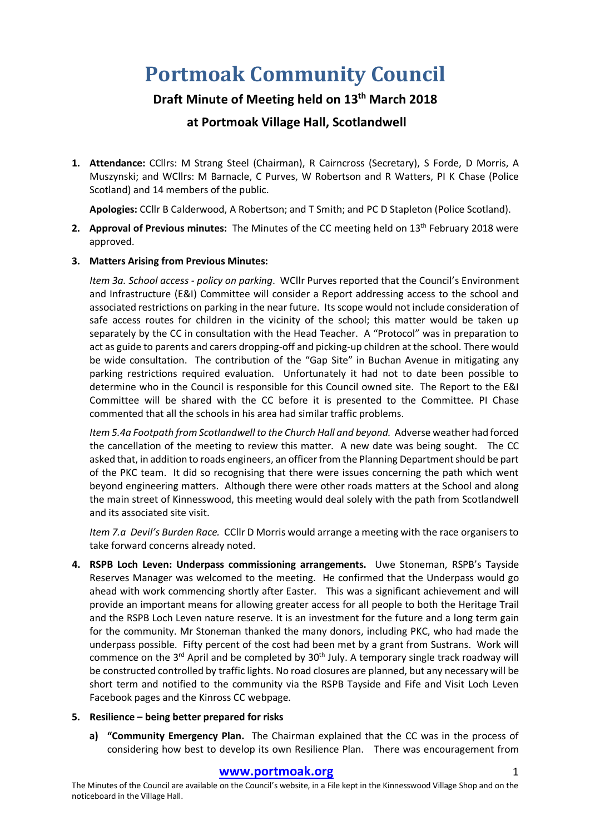# **Portmoak Community Council**

# **Draft Minute of Meeting held on 13th March 2018**

# **at Portmoak Village Hall, Scotlandwell**

**1. Attendance:** CCllrs: M Strang Steel (Chairman), R Cairncross (Secretary), S Forde, D Morris, A Muszynski; and WCllrs: M Barnacle, C Purves, W Robertson and R Watters, PI K Chase (Police Scotland) and 14 members of the public.

**Apologies:** CCllr B Calderwood, A Robertson; and T Smith; and PC D Stapleton (Police Scotland).

- **2. Approval of Previous minutes:** The Minutes of the CC meeting held on 13<sup>th</sup> February 2018 were approved.
- **3. Matters Arising from Previous Minutes:**

*Item 3a. School access - policy on parking*. WCllr Purves reported that the Council's Environment and Infrastructure (E&I) Committee will consider a Report addressing access to the school and associated restrictions on parking in the near future. Its scope would not include consideration of safe access routes for children in the vicinity of the school; this matter would be taken up separately by the CC in consultation with the Head Teacher. A "Protocol" was in preparation to act as guide to parents and carers dropping-off and picking-up children at the school. There would be wide consultation. The contribution of the "Gap Site" in Buchan Avenue in mitigating any parking restrictions required evaluation. Unfortunately it had not to date been possible to determine who in the Council is responsible for this Council owned site. The Report to the E&I Committee will be shared with the CC before it is presented to the Committee. PI Chase commented that all the schools in his area had similar traffic problems.

*Item 5.4a Footpath from Scotlandwell to the Church Hall and beyond.* Adverse weather had forced the cancellation of the meeting to review this matter. A new date was being sought. The CC asked that, in addition to roads engineers, an officer from the Planning Department should be part of the PKC team. It did so recognising that there were issues concerning the path which went beyond engineering matters. Although there were other roads matters at the School and along the main street of Kinnesswood, this meeting would deal solely with the path from Scotlandwell and its associated site visit.

*Item 7.a Devil's Burden Race.* CCllr D Morris would arrange a meeting with the race organisers to take forward concerns already noted.

**4. RSPB Loch Leven: Underpass commissioning arrangements.** Uwe Stoneman, RSPB's Tayside Reserves Manager was welcomed to the meeting. He confirmed that the Underpass would go ahead with work commencing shortly after Easter. This was a significant achievement and will provide an important means for allowing greater access for all people to both the Heritage Trail and the RSPB Loch Leven nature reserve. It is an investment for the future and a long term gain for the community. Mr Stoneman thanked the many donors, including PKC, who had made the underpass possible. Fifty percent of the cost had been met by a grant from Sustrans. Work will commence on the  $3^{rd}$  April and be completed by  $30^{th}$  July. A temporary single track roadway will be constructed controlled by traffic lights. No road closures are planned, but any necessary will be short term and notified to the community via the RSPB Tayside and Fife and Visit Loch Leven Facebook pages and the Kinross CC webpage.

## **5. Resilience – being better prepared for risks**

**a) "Community Emergency Plan.** The Chairman explained that the CC was in the process of considering how best to develop its own Resilience Plan. There was encouragement from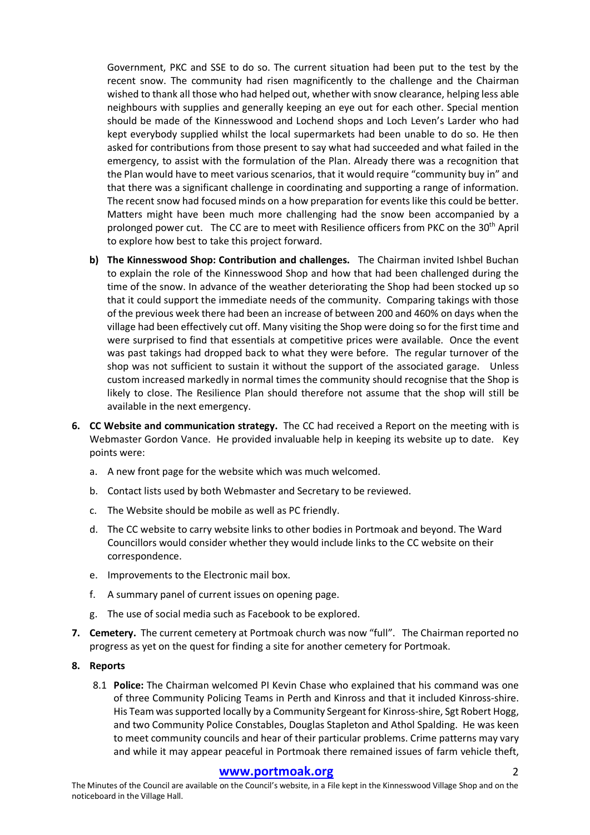Government, PKC and SSE to do so. The current situation had been put to the test by the recent snow. The community had risen magnificently to the challenge and the Chairman wished to thank all those who had helped out, whether with snow clearance, helping less able neighbours with supplies and generally keeping an eye out for each other. Special mention should be made of the Kinnesswood and Lochend shops and Loch Leven's Larder who had kept everybody supplied whilst the local supermarkets had been unable to do so. He then asked for contributions from those present to say what had succeeded and what failed in the emergency, to assist with the formulation of the Plan. Already there was a recognition that the Plan would have to meet various scenarios, that it would require "community buy in" and that there was a significant challenge in coordinating and supporting a range of information. The recent snow had focused minds on a how preparation for events like this could be better. Matters might have been much more challenging had the snow been accompanied by a prolonged power cut. The CC are to meet with Resilience officers from PKC on the 30<sup>th</sup> April to explore how best to take this project forward.

- **b) The Kinnesswood Shop: Contribution and challenges.** The Chairman invited Ishbel Buchan to explain the role of the Kinnesswood Shop and how that had been challenged during the time of the snow. In advance of the weather deteriorating the Shop had been stocked up so that it could support the immediate needs of the community. Comparing takings with those of the previous week there had been an increase of between 200 and 460% on days when the village had been effectively cut off. Many visiting the Shop were doing so for the first time and were surprised to find that essentials at competitive prices were available. Once the event was past takings had dropped back to what they were before. The regular turnover of the shop was not sufficient to sustain it without the support of the associated garage. Unless custom increased markedly in normal times the community should recognise that the Shop is likely to close. The Resilience Plan should therefore not assume that the shop will still be available in the next emergency.
- **6. CC Website and communication strategy.** The CC had received a Report on the meeting with is Webmaster Gordon Vance. He provided invaluable help in keeping its website up to date. Key points were:
	- a. A new front page for the website which was much welcomed.
	- b. Contact lists used by both Webmaster and Secretary to be reviewed.
	- c. The Website should be mobile as well as PC friendly.
	- d. The CC website to carry website links to other bodies in Portmoak and beyond. The Ward Councillors would consider whether they would include links to the CC website on their correspondence.
	- e. Improvements to the Electronic mail box.
	- f. A summary panel of current issues on opening page.
	- g. The use of social media such as Facebook to be explored.
- **7. Cemetery.** The current cemetery at Portmoak church was now "full". The Chairman reported no progress as yet on the quest for finding a site for another cemetery for Portmoak.
- **8. Reports**
	- 8.1 **Police:** The Chairman welcomed PI Kevin Chase who explained that his command was one of three Community Policing Teams in Perth and Kinross and that it included Kinross-shire. His Team was supported locally by a Community Sergeant for Kinross-shire, Sgt Robert Hogg, and two Community Police Constables, Douglas Stapleton and Athol Spalding. He was keen to meet community councils and hear of their particular problems. Crime patterns may vary and while it may appear peaceful in Portmoak there remained issues of farm vehicle theft,

## www.portmoak.org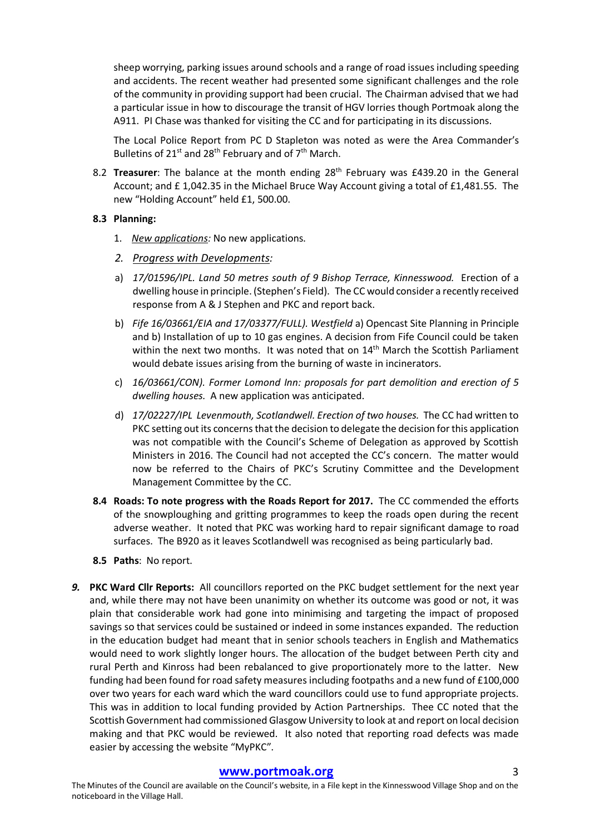sheep worrying, parking issues around schools and a range of road issuesincluding speeding and accidents. The recent weather had presented some significant challenges and the role of the community in providing support had been crucial. The Chairman advised that we had a particular issue in how to discourage the transit of HGV lorries though Portmoak along the A911. PI Chase was thanked for visiting the CC and for participating in its discussions.

The Local Police Report from PC D Stapleton was noted as were the Area Commander's Bulletins of  $21^{st}$  and  $28^{th}$  February and of  $7^{th}$  March.

8.2 **Treasurer**: The balance at the month ending 28<sup>th</sup> February was £439.20 in the General Account; and £ 1,042.35 in the Michael Bruce Way Account giving a total of £1,481.55. The new "Holding Account" held £1, 500.00.

#### **8.3 Planning:**

- 1. *New applications:* No new applications.
- *2. Progress with Developments:*
- a) *17/01596/IPL. Land 50 metres south of 9 Bishop Terrace, Kinnesswood.* Erection of a dwelling house in principle. (Stephen's Field). The CC would consider a recently received response from A & J Stephen and PKC and report back.
- b) *Fife 16/03661/EIA and 17/03377/FULL). Westfield* a) Opencast Site Planning in Principle and b) Installation of up to 10 gas engines. A decision from Fife Council could be taken within the next two months. It was noted that on 14<sup>th</sup> March the Scottish Parliament would debate issues arising from the burning of waste in incinerators.
- c) *16/03661/CON). Former Lomond Inn: proposals for part demolition and erection of 5 dwelling houses.* A new application was anticipated.
- d) *17/02227/IPL Levenmouth, Scotlandwell. Erection of two houses.* The CC had written to PKC setting out its concerns that the decision to delegate the decision for this application was not compatible with the Council's Scheme of Delegation as approved by Scottish Ministers in 2016. The Council had not accepted the CC's concern. The matter would now be referred to the Chairs of PKC's Scrutiny Committee and the Development Management Committee by the CC.
- **8.4 Roads: To note progress with the Roads Report for 2017.** The CC commended the efforts of the snowploughing and gritting programmes to keep the roads open during the recent adverse weather. It noted that PKC was working hard to repair significant damage to road surfaces. The B920 as it leaves Scotlandwell was recognised as being particularly bad.
- **8.5 Paths**: No report.
- *9.* **PKC Ward Cllr Reports:** All councillors reported on the PKC budget settlement for the next year and, while there may not have been unanimity on whether its outcome was good or not, it was plain that considerable work had gone into minimising and targeting the impact of proposed savings so that services could be sustained or indeed in some instances expanded. The reduction in the education budget had meant that in senior schools teachers in English and Mathematics would need to work slightly longer hours. The allocation of the budget between Perth city and rural Perth and Kinross had been rebalanced to give proportionately more to the latter. New funding had been found for road safety measures including footpaths and a new fund of £100,000 over two years for each ward which the ward councillors could use to fund appropriate projects. This was in addition to local funding provided by Action Partnerships. Thee CC noted that the Scottish Government had commissioned Glasgow University to look at and report on local decision making and that PKC would be reviewed. It also noted that reporting road defects was made easier by accessing the website "MyPKC".

# **www.portmoak.org** 3